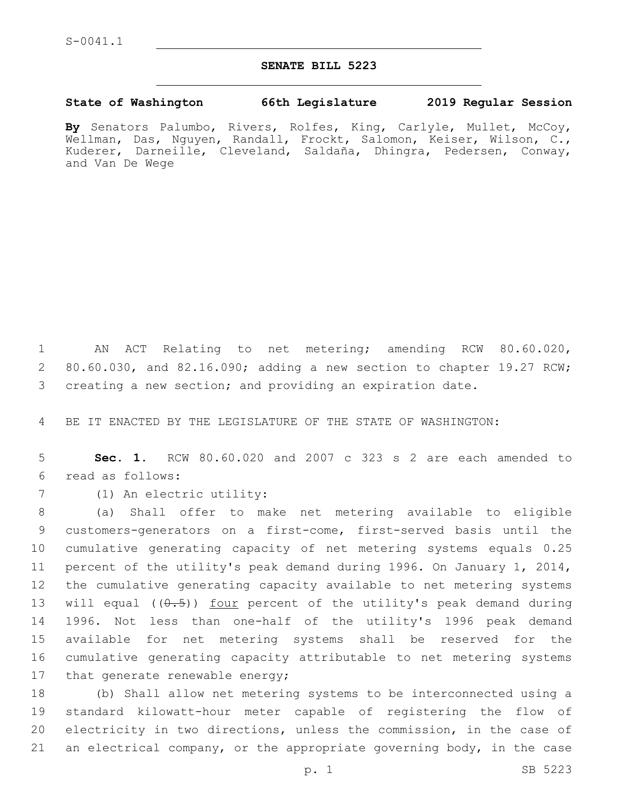## **SENATE BILL 5223**

## **State of Washington 66th Legislature 2019 Regular Session**

**By** Senators Palumbo, Rivers, Rolfes, King, Carlyle, Mullet, McCoy, Wellman, Das, Nguyen, Randall, Frockt, Salomon, Keiser, Wilson, C., Kuderer, Darneille, Cleveland, Saldaña, Dhingra, Pedersen, Conway, and Van De Wege

1 AN ACT Relating to net metering; amending RCW 80.60.020, 2 80.60.030, and 82.16.090; adding a new section to chapter 19.27 RCW; 3 creating a new section; and providing an expiration date.

4 BE IT ENACTED BY THE LEGISLATURE OF THE STATE OF WASHINGTON:

5 **Sec. 1.** RCW 80.60.020 and 2007 c 323 s 2 are each amended to read as follows:6

7 (1) An electric utility:

 (a) Shall offer to make net metering available to eligible customers-generators on a first-come, first-served basis until the cumulative generating capacity of net metering systems equals 0.25 percent of the utility's peak demand during 1996. On January 1, 2014, the cumulative generating capacity available to net metering systems 13 will equal  $((0.5))$  four percent of the utility's peak demand during 1996. Not less than one-half of the utility's 1996 peak demand available for net metering systems shall be reserved for the cumulative generating capacity attributable to net metering systems 17 that generate renewable energy;

 (b) Shall allow net metering systems to be interconnected using a standard kilowatt-hour meter capable of registering the flow of electricity in two directions, unless the commission, in the case of an electrical company, or the appropriate governing body, in the case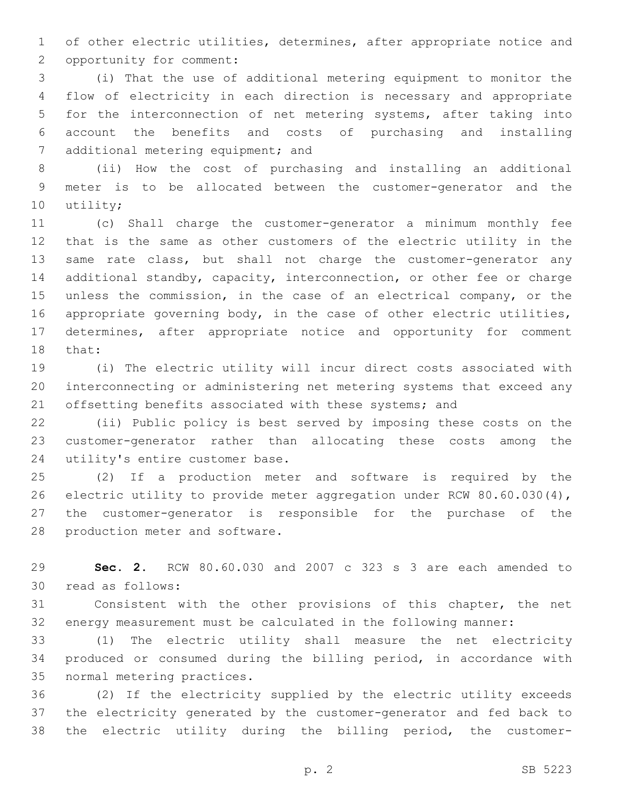of other electric utilities, determines, after appropriate notice and 2 opportunity for comment:

 (i) That the use of additional metering equipment to monitor the flow of electricity in each direction is necessary and appropriate for the interconnection of net metering systems, after taking into account the benefits and costs of purchasing and installing 7 additional metering equipment; and

 (ii) How the cost of purchasing and installing an additional meter is to be allocated between the customer-generator and the 10 utility;

 (c) Shall charge the customer-generator a minimum monthly fee that is the same as other customers of the electric utility in the 13 same rate class, but shall not charge the customer-generator any additional standby, capacity, interconnection, or other fee or charge unless the commission, in the case of an electrical company, or the 16 appropriate governing body, in the case of other electric utilities, determines, after appropriate notice and opportunity for comment 18 that:

 (i) The electric utility will incur direct costs associated with interconnecting or administering net metering systems that exceed any 21 offsetting benefits associated with these systems; and

 (ii) Public policy is best served by imposing these costs on the customer-generator rather than allocating these costs among the 24 utility's entire customer base.

 (2) If a production meter and software is required by the electric utility to provide meter aggregation under RCW 80.60.030(4), the customer-generator is responsible for the purchase of the 28 production meter and software.

 **Sec. 2.** RCW 80.60.030 and 2007 c 323 s 3 are each amended to 30 read as follows:

 Consistent with the other provisions of this chapter, the net energy measurement must be calculated in the following manner:

 (1) The electric utility shall measure the net electricity produced or consumed during the billing period, in accordance with 35 normal metering practices.

 (2) If the electricity supplied by the electric utility exceeds the electricity generated by the customer-generator and fed back to the electric utility during the billing period, the customer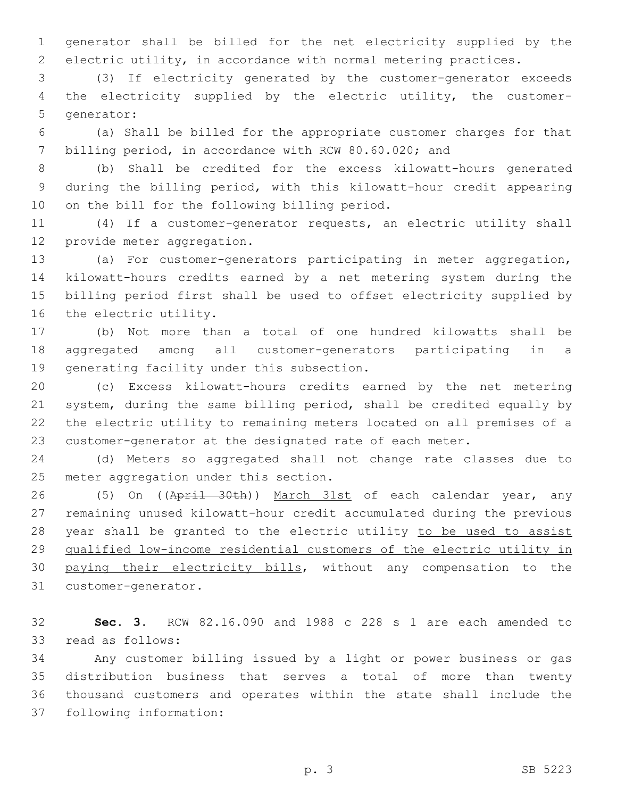generator shall be billed for the net electricity supplied by the electric utility, in accordance with normal metering practices.

 (3) If electricity generated by the customer-generator exceeds the electricity supplied by the electric utility, the customer-5 generator:

 (a) Shall be billed for the appropriate customer charges for that billing period, in accordance with RCW 80.60.020; and

 (b) Shall be credited for the excess kilowatt-hours generated during the billing period, with this kilowatt-hour credit appearing 10 on the bill for the following billing period.

 (4) If a customer-generator requests, an electric utility shall 12 provide meter aggregation.

 (a) For customer-generators participating in meter aggregation, kilowatt-hours credits earned by a net metering system during the billing period first shall be used to offset electricity supplied by 16 the electric utility.

 (b) Not more than a total of one hundred kilowatts shall be aggregated among all customer-generators participating in a 19 generating facility under this subsection.

 (c) Excess kilowatt-hours credits earned by the net metering system, during the same billing period, shall be credited equally by the electric utility to remaining meters located on all premises of a customer-generator at the designated rate of each meter.

 (d) Meters so aggregated shall not change rate classes due to 25 meter aggregation under this section.

26 (5) On ((April 30th)) March 31st of each calendar year, any remaining unused kilowatt-hour credit accumulated during the previous 28 year shall be granted to the electric utility to be used to assist qualified low-income residential customers of the electric utility in paying their electricity bills, without any compensation to the 31 customer-generator.

 **Sec. 3.** RCW 82.16.090 and 1988 c 228 s 1 are each amended to 33 read as follows:

 Any customer billing issued by a light or power business or gas distribution business that serves a total of more than twenty thousand customers and operates within the state shall include the 37 following information: